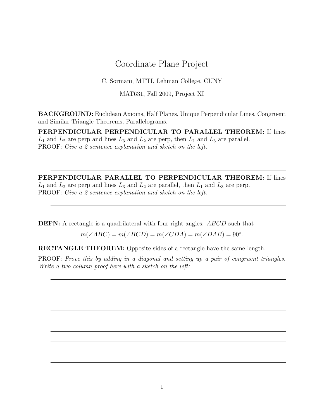# Coordinate Plane Project

C. Sormani, MTTI, Lehman College, CUNY

MAT631, Fall 2009, Project XI

BACKGROUND: Euclidean Axioms, Half Planes, Unique Perpendicular Lines, Congruent and Similar Triangle Theorems, Parallelograms.

PERPENDICULAR PERPENDICULAR TO PARALLEL THEOREM: If lines  $L_1$  and  $L_2$  are perp and lines  $L_3$  and  $L_2$  are perp, then  $L_1$  and  $L_3$  are parallel. PROOF: Give a 2 sentence explanation and sketch on the left.

PERPENDICULAR PARALLEL TO PERPENDICULAR THEOREM: If lines  $L_1$  and  $L_2$  are perp and lines  $L_3$  and  $L_2$  are parallel, then  $L_1$  and  $L_3$  are perp. PROOF: Give a 2 sentence explanation and sketch on the left.

DEFN: A rectangle is a quadrilateral with four right angles: *ABCD* such that

 $m(\angle ABC) = m(\angle BCD) = m(\angle CDA) = m(\angle DAB) = 90^{\circ}.$ 

RECTANGLE THEOREM: Opposite sides of a rectangle have the same length.

PROOF: Prove this by adding in a diagonal and setting up a pair of congruent triangles. Write a two column proof here with a sketch on the left:

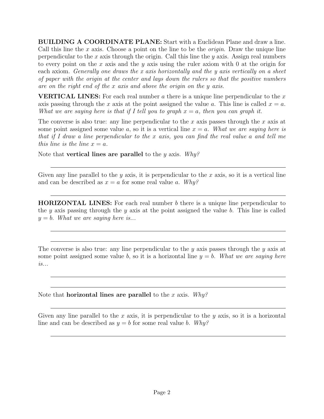BUILDING A COORDINATE PLANE: Start with a Euclidean Plane and draw a line. Call this line the x axis. Choose a point on the line to be the *origin*. Draw the unique line perpendicular to the x axis through the origin. Call this line the  $\eta$  axis. Assign real numbers to every point on the x axis and the y axis using the ruler axiom with 0 at the origin for each axiom. Generally one draws the x axis horizontally and the y axis vertically on a sheet of paper with the origin at the center and lays down the rulers so that the positive numbers are on the right end of the x axis and above the origin on the y axis.

**VERTICAL LINES:** For each real number a there is a unique line perpendicular to the x axis passing through the x axis at the point assigned the value a. This line is called  $x = a$ . What we are saying here is that if I tell you to graph  $x = a$ , then you can graph it.

The converse is also true: any line perpendicular to the x axis passes through the x axis at some point assigned some value a, so it is a vertical line  $x = a$ . What we are saying here is that if I draw a line perpendicular to the x axis, you can find the real value a and tell me this line is the line  $x = a$ .

Note that **vertical lines are parallel** to the y axis. Why?

Given any line parallel to the y axis, it is perpendicular to the x axis, so it is a vertical line and can be described as  $x = a$  for some real value a. Why?

**HORIZONTAL LINES:** For each real number  $b$  there is a unique line perpendicular to the y axis passing through the y axis at the point assigned the value  $b$ . This line is called  $y = b$ . What we are saying here is...

The converse is also true: any line perpendicular to the  $y$  axis passes through the  $y$  axis at some point assigned some value b, so it is a horizontal line  $y = b$ . What we are saying here  $is...$ 

Note that **horizontal lines are parallel** to the x axis. Why?

Given any line parallel to the x axis, it is perpendicular to the y axis, so it is a horizontal line and can be described as  $y = b$  for some real value b. Why?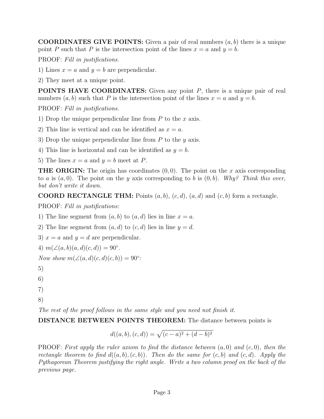**COORDINATES GIVE POINTS:** Given a pair of real numbers  $(a, b)$  there is a unique point P such that P is the intersection point of the lines  $x = a$  and  $y = b$ .

PROOF: Fill in justifications.

- 1) Lines  $x = a$  and  $y = b$  are perpendicular.
- 2) They meet at a unique point.

**POINTS HAVE COORDINATES:** Given any point  $P$ , there is a unique pair of real numbers  $(a, b)$  such that P is the intersection point of the lines  $x = a$  and  $y = b$ .

PROOF: Fill in justifications.

1) Drop the unique perpendicular line from  $P$  to the  $x$  axis.

2) This line is vertical and can be identified as  $x = a$ .

3) Drop the unique perpendicular line from  $P$  to the  $y$  axis.

4) This line is horizontal and can be identified as  $y = b$ .

5) The lines  $x = a$  and  $y = b$  meet at P.

**THE ORIGIN:** The origin has coordinates  $(0,0)$ . The point on the x axis corresponding to a is  $(a, 0)$ . The point on the y axis corresponding to b is  $(0, b)$ . Why? Think this over, but don't write it down.

**COORD RECTANGLE THM:** Points  $(a, b)$ ,  $(c, d)$ ,  $(a, d)$  and  $(c, b)$  form a rectangle.

PROOF: Fill in justifications:

1) The line segment from  $(a, b)$  to  $(a, d)$  lies in line  $x = a$ .

2) The line segment from  $(a, d)$  to  $(c, d)$  lies in line  $y = d$ .

3)  $x = a$  and  $y = d$  are perpendicular.

4)  $m(\angle(a,b)(a,d)(c,d)) = 90^{\circ}$ .

Now show  $m(\angle(a, d)(c, d)(c, b)) = 90^\circ$ :

5)

6)

7)

8)

The rest of the proof follows in the same style and you need not finish it.

DISTANCE BETWEEN POINTS THEOREM: The distance between points is

$$
d((a,b),(c,d)) = \sqrt{(c-a)^2 + (d-b)^2}
$$

**PROOF:** First apply the ruler axiom to find the distance between  $(a, 0)$  and  $(c, 0)$ , then the rectangle theorem to find  $d((a, b), (c, b))$ . Then do the same for  $(c, b)$  and  $(c, d)$ . Apply the Pythagorean Theorem justifying the right angle. Write a two column proof on the back of the previous page.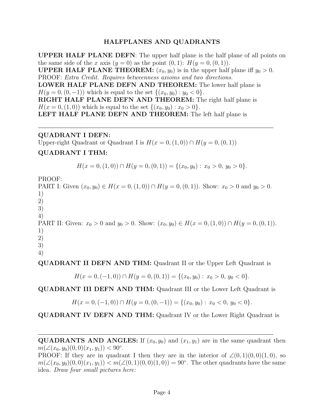## HALFPLANES AND QUADRANTS

UPPER HALF PLANE DEFN: The upper half plane is the half plane of all points on the same side of the x axis  $(y = 0)$  as the point  $(0, 1)$ :  $H(y = 0, (0, 1))$ . **UPPER HALF PLANE THEOREM:**  $(x_0, y_0)$  is in the upper half plane iff  $y_0 > 0$ . PROOF: Extra Credit. Requires betweenness axioms and two directions. LOWER HALF PLANE DEFN AND THEOREM: The lower half plane is  $H(y = 0, (0, -1))$  which is equal to the set  $\{(x_0, y_0) : y_0 < 0\}.$ RIGHT HALF PLANE DEFN AND THEOREM: The right half plane is  $H(x = 0, (1, 0))$  which is equal to the set  $\{(x_0, y_0) : x_0 > 0\}.$ LEFT HALF PLANE DEFN AND THEOREM: The left half plane is

### QUADRANT I DEFN:

Upper-right Quadrant or Quadrant I is  $H(x = 0, (1, 0)) \cap H(y = 0, (0, 1))$ 

## QUADRANT I THM:

$$
H(x = 0, (1, 0)) \cap H(y = 0, (0, 1)) = \{(x_0, y_0) : x_0 > 0, y_0 > 0\}.
$$

PROOF:

PART I: Given  $(x_0, y_0) \in H(x = 0, (1, 0)) \cap H(y = 0, (0, 1))$ . Show:  $x_0 > 0$  and  $y_0 > 0$ . 1) 2) 3) 4) PART II: Given:  $x_0 > 0$  and  $y_0 > 0$ . Show:  $(x_0, y_0) \in H(x = 0, (1, 0)) \cap H(y = 0, (0, 1))$ . 1) 2) 3) 4)

QUADRANT II DEFN AND THM: Quadrant II or the Upper Left Quadrant is

 $H(x = 0, (-1, 0)) \cap H(y = 0, (0, 1)) = \{(x_0, y_0) : x_0 > 0, y_0 < 0\}.$ 

QUADRANT III DEFN AND THM: Quadrant III or the Lower Left Quadrant is

$$
H(x = 0, (-1, 0)) \cap H(y = 0, (0, -1)) = \{(x_0, y_0) : x_0 < 0, y_0 < 0\}.
$$

QUADRANT IV DEFN AND THM: Quadrant IV or the Lower Right Quadrant is

**QUADRANTS AND ANGLES:** If  $(x_0, y_0)$  and  $(x_1, y_1)$  are in the same quadrant then  $m(\angle(x_0, y_0)(0, 0)(x_1, y_1)) < 90^\circ.$ 

PROOF: If they are in quadrant I then they are in the interior of  $\angle(0,1)(0,0)(1,0)$ , so  $m(\angle(x_0, y_0)(0,0)(x_1, y_1)) < m(\angle(0, 1)(0, 0)(1, 0)) = 90^{\circ}$ . The other quadrants have the same idea. Draw four small pictures here: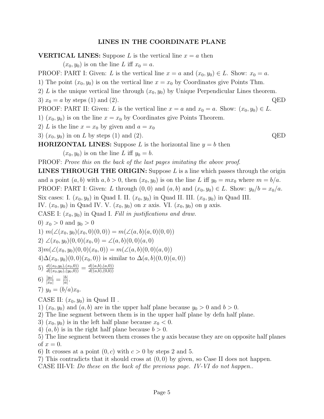#### LINES IN THE COORDINATE PLANE

**VERTICAL LINES:** Suppose L is the vertical line  $x = a$  then

 $(x_0, y_0)$  is on the line L iff  $x_0 = a$ .

PROOF: PART I: Given: L is the vertical line  $x = a$  and  $(x_0, y_0) \in L$ . Show:  $x_0 = a$ .

1) The point  $(x_0, y_0)$  is on the vertical line  $x = x_0$  by Coordinates give Points Thm.

2) L is the unique vertical line through  $(x_0, y_0)$  by Unique Perpendicular Lines theorem.

3)  $x_0 = a$  by steps (1) and (2). QED

PROOF: PART II: Given: L is the vertical line  $x = a$  and  $x_0 = a$ . Show:  $(x_0, y_0) \in L$ .

1)  $(x_0, y_0)$  is on the line  $x = x_0$  by Coordinates give Points Theorem.

2) L is the line  $x = x_0$  by given and  $a = x_0$ 

3)  $(x_0, y_0)$  in on L by steps (1) and (2). QED

**HORIZONTAL LINES:** Suppose L is the horizontal line  $y = b$  then

 $(x_0, y_0)$  is on the line L iff  $y_0 = b$ .

PROOF: Prove this on the back of the last pages imitating the above proof.

**LINES THROUGH THE ORIGIN:** Suppose  $L$  is a line which passes through the origin and a point  $(a, b)$  with  $a, b > 0$ , then  $(x_0, y_0)$  is on the line L iff  $y_0 = mx_0$  where  $m = b/a$ . PROOF: PART I: Given: L through  $(0,0)$  and  $(a, b)$  and  $(x_0, y_0) \in L$ . Show:  $y_0/b = x_0/a$ . Six cases: I.  $(x_0, y_0)$  in Quad I. II.  $(x_0, y_0)$  in Quad II. III.  $(x_0, y_0)$  in Quad III.

IV.  $(x_0, y_0)$  in Quad IV. V.  $(x_0, y_0)$  on x axis. VI.  $(x_0, y_0)$  on y axis.

CASE I:  $(x_0, y_0)$  in Quad I. Fill in justifications and draw.

0)  $x_0 > 0$  and  $y_0 > 0$ 

1)  $m(\angle(x_0, y_0)(x_0, 0)(0, 0)) = m(\angle(a, b)(a, 0)(0, 0))$ 

2)  $\angle$ (x<sub>0</sub>, y<sub>0</sub>)(0, 0)(x<sub>0</sub>, 0) =  $\angle$ (a, b)(0, 0)(a, 0)

 $3)m(\angle(x_0, y_0)(0, 0)(x_0, 0)) = m(\angle(a, b)(0, 0)(a, 0))$ 

 $4)\Delta(x_0, y_0)(0, 0)(x_0, 0)$  is similar to  $\Delta(a, b)(0, 0)(a, 0)$ 

- 5)  $\frac{d((x_0,y_0),(x_0,0))}{d((x_0,y_0),(y_0,0))}=\frac{d((a,b),(a,0))}{d((a,b),(0,b))}$
- $d((a,b),(0,b))$
- 6)  $\frac{|y_0|}{|x_0|} = \frac{|b|}{|a|}$  $\frac{|b|}{|a|}$ .

7) 
$$
y_0 = (b/a)x_0
$$
.

CASE II:  $(x_0, y_0)$  in Quad II.

1)  $(x_0, y_0)$  and  $(a, b)$  are in the upper half plane because  $y_0 > 0$  and  $b > 0$ .

2) The line segment between them is in the upper half plane by defn half plane.

3)  $(x_0, y_0)$  is in the left half plane because  $x_0 < 0$ .

4)  $(a, b)$  is in the right half plane because  $b > 0$ .

5) The line segment between them crosses the y axis because they are on opposite half planes of  $x=0$ .

6) It crosses at a point  $(0, c)$  with  $c > 0$  by steps 2 and 5.

7) This contradicts that it should cross at (0, 0) by given, so Case II does not happen.

CASE III-VI: Do these on the back of the previous page. IV-VI do not happen..